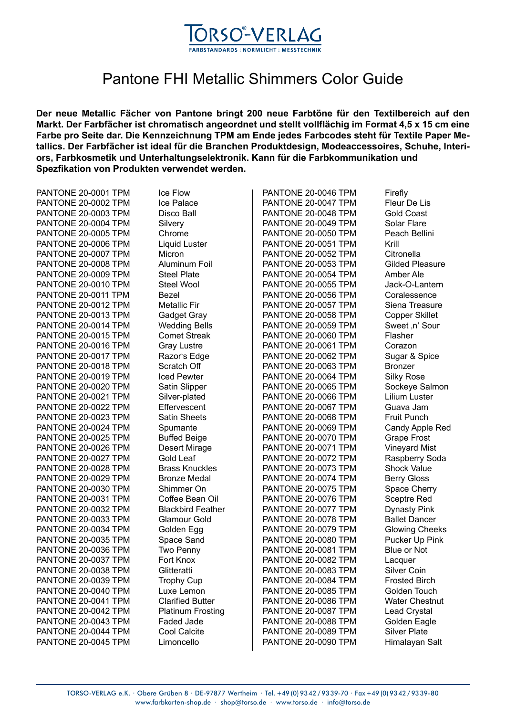

## Pantone FHI Metallic Shimmers Color Guide

**Der neue Metallic Fächer von Pantone bringt 200 neue Farbtöne für den Textilbereich auf den Markt. Der Farbfächer ist chromatisch angeordnet und stellt vollflächig im Format 4,5 x 15 cm eine Farbe pro Seite dar. Die Kennzeichnung TPM am Ende jedes Farbcodes steht für Textile Paper Metallics. Der Farbfächer ist ideal für die Branchen Produktdesign, Modeaccessoires, Schuhe, Interiors, Farbkosmetik und Unterhaltungselektronik. Kann für die Farbkommunikation und Spezfikation von Produkten verwendet werden.** 

| PANTONE 20-0001 TPM | Ice Flow                 | PANTONE 20-0046 TPM | Firefly                |
|---------------------|--------------------------|---------------------|------------------------|
| PANTONE 20-0002 TPM | Ice Palace               | PANTONE 20-0047 TPM | Fleur De Lis           |
| PANTONE 20-0003 TPM | <b>Disco Ball</b>        | PANTONE 20-0048 TPM | Gold Coast             |
| PANTONE 20-0004 TPM | Silvery                  | PANTONE 20-0049 TPM | Solar Flare            |
| PANTONE 20-0005 TPM | Chrome                   | PANTONE 20-0050 TPM | Peach Bellini          |
| PANTONE 20-0006 TPM | Liquid Luster            | PANTONE 20-0051 TPM | Krill                  |
| PANTONE 20-0007 TPM | Micron                   | PANTONE 20-0052 TPM | Citronella             |
| PANTONE 20-0008 TPM | Aluminum Foil            | PANTONE 20-0053 TPM | <b>Gilded Pleasure</b> |
| PANTONE 20-0009 TPM | <b>Steel Plate</b>       | PANTONE 20-0054 TPM | Amber Ale              |
| PANTONE 20-0010 TPM | Steel Wool               | PANTONE 20-0055 TPM | Jack-O-Lantern         |
| PANTONE 20-0011 TPM | Bezel                    | PANTONE 20-0056 TPM | Coralessence           |
| PANTONE 20-0012 TPM | <b>Metallic Fir</b>      | PANTONE 20-0057 TPM | Siena Treasure         |
| PANTONE 20-0013 TPM | Gadget Gray              | PANTONE 20-0058 TPM | <b>Copper Skillet</b>  |
| PANTONE 20-0014 TPM | <b>Wedding Bells</b>     | PANTONE 20-0059 TPM | Sweet ,n' Sour         |
| PANTONE 20-0015 TPM | <b>Comet Streak</b>      | PANTONE 20-0060 TPM | Flasher                |
| PANTONE 20-0016 TPM | <b>Gray Lustre</b>       | PANTONE 20-0061 TPM | Corazon                |
| PANTONE 20-0017 TPM | Razor's Edge             | PANTONE 20-0062 TPM | Sugar & Spice          |
| PANTONE 20-0018 TPM | Scratch Off              | PANTONE 20-0063 TPM | Bronzer                |
| PANTONE 20-0019 TPM | <b>Iced Pewter</b>       | PANTONE 20-0064 TPM | <b>Silky Rose</b>      |
| PANTONE 20-0020 TPM | Satin Slipper            | PANTONE 20-0065 TPM | Sockeye Salmon         |
| PANTONE 20-0021 TPM | Silver-plated            | PANTONE 20-0066 TPM | Lilium Luster          |
| PANTONE 20-0022 TPM | Effervescent             | PANTONE 20-0067 TPM | Guava Jam              |
| PANTONE 20-0023 TPM | <b>Satin Sheets</b>      | PANTONE 20-0068 TPM | <b>Fruit Punch</b>     |
| PANTONE 20-0024 TPM | Spumante                 | PANTONE 20-0069 TPM | Candy Apple Red        |
| PANTONE 20-0025 TPM | <b>Buffed Beige</b>      | PANTONE 20-0070 TPM | <b>Grape Frost</b>     |
| PANTONE 20-0026 TPM | <b>Desert Mirage</b>     | PANTONE 20-0071 TPM | <b>Vineyard Mist</b>   |
| PANTONE 20-0027 TPM | Gold Leaf                | PANTONE 20-0072 TPM | Raspberry Soda         |
| PANTONE 20-0028 TPM | <b>Brass Knuckles</b>    | PANTONE 20-0073 TPM | <b>Shock Value</b>     |
| PANTONE 20-0029 TPM | <b>Bronze Medal</b>      | PANTONE 20-0074 TPM | <b>Berry Gloss</b>     |
| PANTONE 20-0030 TPM | Shimmer On               | PANTONE 20-0075 TPM | Space Cherry           |
| PANTONE 20-0031 TPM | Coffee Bean Oil          | PANTONE 20-0076 TPM | <b>Sceptre Red</b>     |
| PANTONE 20-0032 TPM | <b>Blackbird Feather</b> | PANTONE 20-0077 TPM | <b>Dynasty Pink</b>    |
| PANTONE 20-0033 TPM | Glamour Gold             | PANTONE 20-0078 TPM | <b>Ballet Dancer</b>   |
| PANTONE 20-0034 TPM | Golden Egg               | PANTONE 20-0079 TPM | <b>Glowing Cheeks</b>  |
| PANTONE 20-0035 TPM | Space Sand               | PANTONE 20-0080 TPM | Pucker Up Pink         |
| PANTONE 20-0036 TPM | Two Penny                | PANTONE 20-0081 TPM | <b>Blue or Not</b>     |
| PANTONE 20-0037 TPM | Fort Knox                | PANTONE 20-0082 TPM | Lacquer                |
| PANTONE 20-0038 TPM | Glitteratti              | PANTONE 20-0083 TPM | Silver Coin            |
| PANTONE 20-0039 TPM | <b>Trophy Cup</b>        | PANTONE 20-0084 TPM | <b>Frosted Birch</b>   |
| PANTONE 20-0040 TPM | Luxe Lemon               | PANTONE 20-0085 TPM | Golden Touch           |
| PANTONE 20-0041 TPM | <b>Clarified Butter</b>  | PANTONE 20-0086 TPM | <b>Water Chestnut</b>  |
| PANTONE 20-0042 TPM | <b>Platinum Frosting</b> | PANTONE 20-0087 TPM | Lead Crystal           |
| PANTONE 20-0043 TPM | Faded Jade               | PANTONE 20-0088 TPM | Golden Eagle           |
| PANTONE 20-0044 TPM | Cool Calcite             | PANTONE 20-0089 TPM | <b>Silver Plate</b>    |
| PANTONE 20-0045 TPM | Limoncello               | PANTONE 20-0090 TPM | Himalayan Salt         |
|                     |                          |                     |                        |